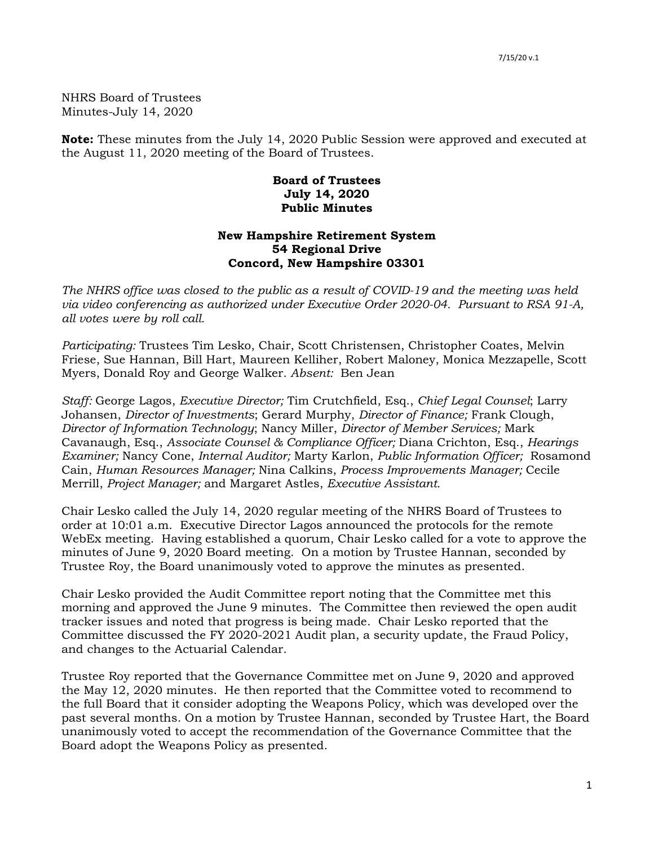NHRS Board of Trustees Minutes-July 14, 2020

**Note:** These minutes from the July 14, 2020 Public Session were approved and executed at the August 11, 2020 meeting of the Board of Trustees.

## **Board of Trustees July 14, 2020 Public Minutes**

## **New Hampshire Retirement System 54 Regional Drive Concord, New Hampshire 03301**

*The NHRS office was closed to the public as a result of COVID-19 and the meeting was held via video conferencing as authorized under Executive Order 2020-04. Pursuant to RSA 91-A, all votes were by roll call.*

*Participating:* Trustees Tim Lesko, Chair, Scott Christensen, Christopher Coates, Melvin Friese, Sue Hannan, Bill Hart, Maureen Kelliher, Robert Maloney, Monica Mezzapelle, Scott Myers, Donald Roy and George Walker. *Absent:* Ben Jean

*Staff:* George Lagos, *Executive Director;* Tim Crutchfield, Esq., *Chief Legal Counsel*; Larry Johansen, *Director of Investments*; Gerard Murphy, *Director of Finance;* Frank Clough, *Director of Information Technology*; Nancy Miller, *Director of Member Services;* Mark Cavanaugh, Esq., *Associate Counsel & Compliance Officer;* Diana Crichton, Esq., *Hearings Examiner;* Nancy Cone, *Internal Auditor;* Marty Karlon, *Public Information Officer;* Rosamond Cain, *Human Resources Manager;* Nina Calkins, *Process Improvements Manager;* Cecile Merrill, *Project Manager;* and Margaret Astles, *Executive Assistant.* 

Chair Lesko called the July 14, 2020 regular meeting of the NHRS Board of Trustees to order at 10:01 a.m. Executive Director Lagos announced the protocols for the remote WebEx meeting. Having established a quorum, Chair Lesko called for a vote to approve the minutes of June 9, 2020 Board meeting. On a motion by Trustee Hannan, seconded by Trustee Roy, the Board unanimously voted to approve the minutes as presented.

Chair Lesko provided the Audit Committee report noting that the Committee met this morning and approved the June 9 minutes. The Committee then reviewed the open audit tracker issues and noted that progress is being made. Chair Lesko reported that the Committee discussed the FY 2020-2021 Audit plan, a security update, the Fraud Policy, and changes to the Actuarial Calendar.

Trustee Roy reported that the Governance Committee met on June 9, 2020 and approved the May 12, 2020 minutes. He then reported that the Committee voted to recommend to the full Board that it consider adopting the Weapons Policy, which was developed over the past several months. On a motion by Trustee Hannan, seconded by Trustee Hart, the Board unanimously voted to accept the recommendation of the Governance Committee that the Board adopt the Weapons Policy as presented.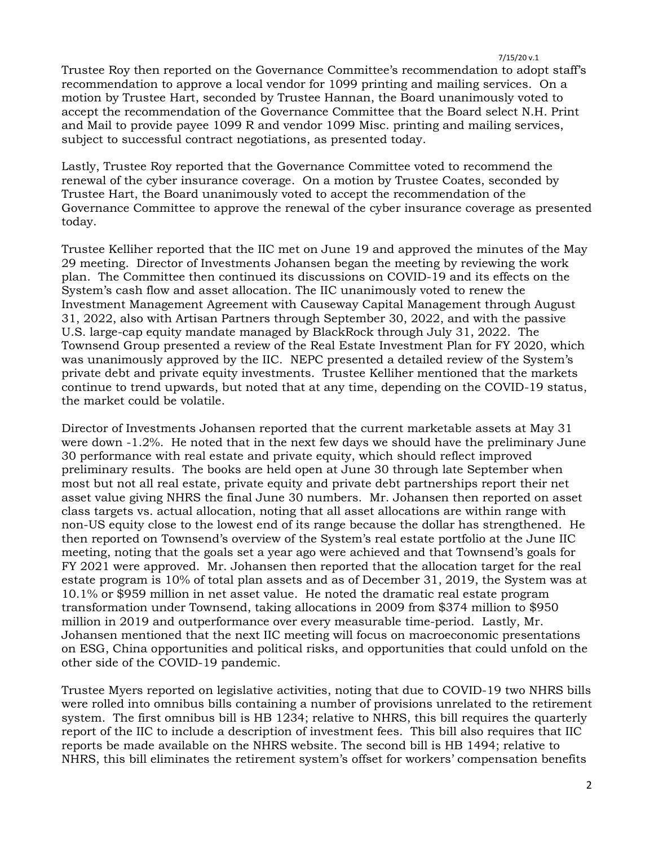Trustee Roy then reported on the Governance Committee's recommendation to adopt staff's recommendation to approve a local vendor for 1099 printing and mailing services. On a motion by Trustee Hart, seconded by Trustee Hannan, the Board unanimously voted to accept the recommendation of the Governance Committee that the Board select N.H. Print and Mail to provide payee 1099 R and vendor 1099 Misc. printing and mailing services, subject to successful contract negotiations, as presented today.

Lastly, Trustee Roy reported that the Governance Committee voted to recommend the renewal of the cyber insurance coverage. On a motion by Trustee Coates, seconded by Trustee Hart, the Board unanimously voted to accept the recommendation of the Governance Committee to approve the renewal of the cyber insurance coverage as presented today.

Trustee Kelliher reported that the IIC met on June 19 and approved the minutes of the May 29 meeting. Director of Investments Johansen began the meeting by reviewing the work plan. The Committee then continued its discussions on COVID-19 and its effects on the System's cash flow and asset allocation. The IIC unanimously voted to renew the Investment Management Agreement with Causeway Capital Management through August 31, 2022, also with Artisan Partners through September 30, 2022, and with the passive U.S. large-cap equity mandate managed by BlackRock through July 31, 2022. The Townsend Group presented a review of the Real Estate Investment Plan for FY 2020, which was unanimously approved by the IIC. NEPC presented a detailed review of the System's private debt and private equity investments. Trustee Kelliher mentioned that the markets continue to trend upwards, but noted that at any time, depending on the COVID-19 status, the market could be volatile.

Director of Investments Johansen reported that the current marketable assets at May 31 were down -1.2%. He noted that in the next few days we should have the preliminary June 30 performance with real estate and private equity, which should reflect improved preliminary results. The books are held open at June 30 through late September when most but not all real estate, private equity and private debt partnerships report their net asset value giving NHRS the final June 30 numbers. Mr. Johansen then reported on asset class targets vs. actual allocation, noting that all asset allocations are within range with non-US equity close to the lowest end of its range because the dollar has strengthened. He then reported on Townsend's overview of the System's real estate portfolio at the June IIC meeting, noting that the goals set a year ago were achieved and that Townsend's goals for FY 2021 were approved. Mr. Johansen then reported that the allocation target for the real estate program is 10% of total plan assets and as of December 31, 2019, the System was at 10.1% or \$959 million in net asset value. He noted the dramatic real estate program transformation under Townsend, taking allocations in 2009 from \$374 million to \$950 million in 2019 and outperformance over every measurable time-period. Lastly, Mr. Johansen mentioned that the next IIC meeting will focus on macroeconomic presentations on ESG, China opportunities and political risks, and opportunities that could unfold on the other side of the COVID-19 pandemic.

Trustee Myers reported on legislative activities, noting that due to COVID-19 two NHRS bills were rolled into omnibus bills containing a number of provisions unrelated to the retirement system. The first omnibus bill is HB 1234; relative to NHRS, this bill requires the quarterly report of the IIC to include a description of investment fees. This bill also requires that IIC reports be made available on the NHRS website. The second bill is HB 1494; relative to NHRS, this bill eliminates the retirement system's offset for workers' compensation benefits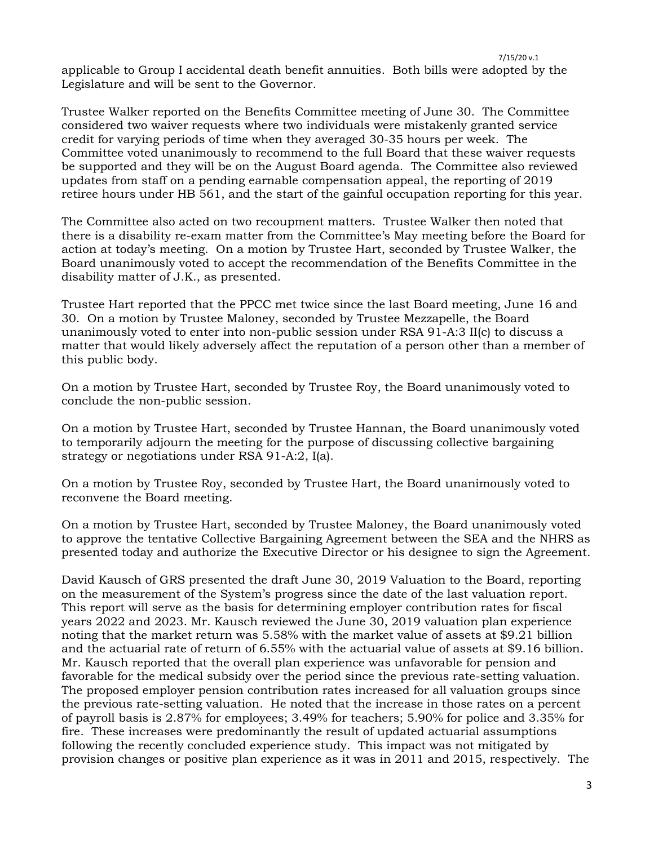7/15/20 v.1 applicable to Group I accidental death benefit annuities. Both bills were adopted by the Legislature and will be sent to the Governor.

Trustee Walker reported on the Benefits Committee meeting of June 30. The Committee considered two waiver requests where two individuals were mistakenly granted service credit for varying periods of time when they averaged 30-35 hours per week. The Committee voted unanimously to recommend to the full Board that these waiver requests be supported and they will be on the August Board agenda. The Committee also reviewed updates from staff on a pending earnable compensation appeal, the reporting of 2019 retiree hours under HB 561, and the start of the gainful occupation reporting for this year.

The Committee also acted on two recoupment matters. Trustee Walker then noted that there is a disability re-exam matter from the Committee's May meeting before the Board for action at today's meeting. On a motion by Trustee Hart, seconded by Trustee Walker, the Board unanimously voted to accept the recommendation of the Benefits Committee in the disability matter of J.K., as presented.

Trustee Hart reported that the PPCC met twice since the last Board meeting, June 16 and 30. On a motion by Trustee Maloney, seconded by Trustee Mezzapelle, the Board unanimously voted to enter into non-public session under RSA 91-A:3 II(c) to discuss a matter that would likely adversely affect the reputation of a person other than a member of this public body.

On a motion by Trustee Hart, seconded by Trustee Roy, the Board unanimously voted to conclude the non-public session.

On a motion by Trustee Hart, seconded by Trustee Hannan, the Board unanimously voted to temporarily adjourn the meeting for the purpose of discussing collective bargaining strategy or negotiations under RSA 91-A:2, I(a).

On a motion by Trustee Roy, seconded by Trustee Hart, the Board unanimously voted to reconvene the Board meeting.

On a motion by Trustee Hart, seconded by Trustee Maloney, the Board unanimously voted to approve the tentative Collective Bargaining Agreement between the SEA and the NHRS as presented today and authorize the Executive Director or his designee to sign the Agreement.

David Kausch of GRS presented the draft June 30, 2019 Valuation to the Board, reporting on the measurement of the System's progress since the date of the last valuation report. This report will serve as the basis for determining employer contribution rates for fiscal years 2022 and 2023. Mr. Kausch reviewed the June 30, 2019 valuation plan experience noting that the market return was 5.58% with the market value of assets at \$9.21 billion and the actuarial rate of return of 6.55% with the actuarial value of assets at \$9.16 billion. Mr. Kausch reported that the overall plan experience was unfavorable for pension and favorable for the medical subsidy over the period since the previous rate-setting valuation. The proposed employer pension contribution rates increased for all valuation groups since the previous rate-setting valuation. He noted that the increase in those rates on a percent of payroll basis is 2.87% for employees; 3.49% for teachers; 5.90% for police and 3.35% for fire. These increases were predominantly the result of updated actuarial assumptions following the recently concluded experience study. This impact was not mitigated by provision changes or positive plan experience as it was in 2011 and 2015, respectively. The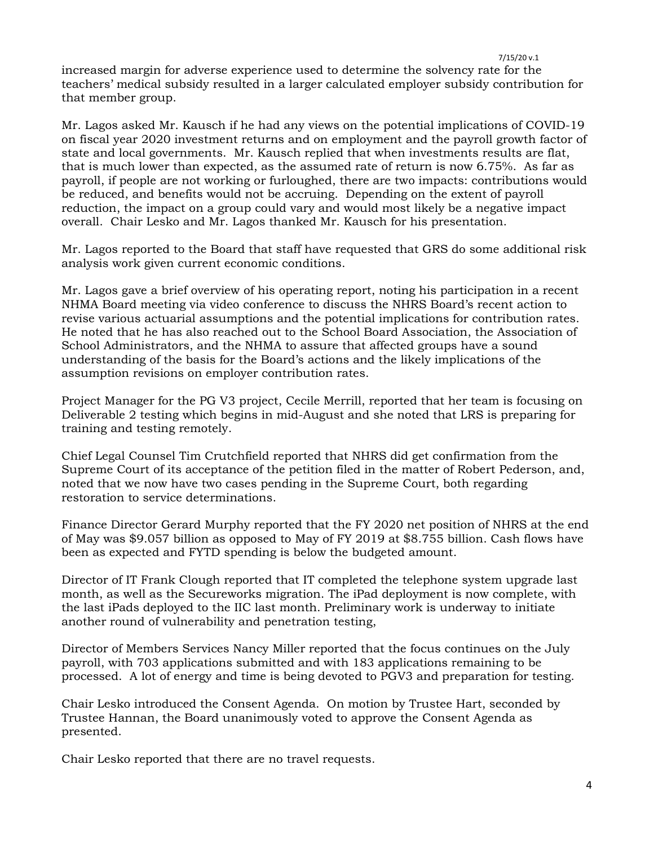7/15/20 v.1 increased margin for adverse experience used to determine the solvency rate for the teachers' medical subsidy resulted in a larger calculated employer subsidy contribution for that member group.

Mr. Lagos asked Mr. Kausch if he had any views on the potential implications of COVID-19 on fiscal year 2020 investment returns and on employment and the payroll growth factor of state and local governments. Mr. Kausch replied that when investments results are flat, that is much lower than expected, as the assumed rate of return is now 6.75%. As far as payroll, if people are not working or furloughed, there are two impacts: contributions would be reduced, and benefits would not be accruing. Depending on the extent of payroll reduction, the impact on a group could vary and would most likely be a negative impact overall. Chair Lesko and Mr. Lagos thanked Mr. Kausch for his presentation.

Mr. Lagos reported to the Board that staff have requested that GRS do some additional risk analysis work given current economic conditions.

Mr. Lagos gave a brief overview of his operating report, noting his participation in a recent NHMA Board meeting via video conference to discuss the NHRS Board's recent action to revise various actuarial assumptions and the potential implications for contribution rates. He noted that he has also reached out to the School Board Association, the Association of School Administrators, and the NHMA to assure that affected groups have a sound understanding of the basis for the Board's actions and the likely implications of the assumption revisions on employer contribution rates.

Project Manager for the PG V3 project, Cecile Merrill, reported that her team is focusing on Deliverable 2 testing which begins in mid-August and she noted that LRS is preparing for training and testing remotely.

Chief Legal Counsel Tim Crutchfield reported that NHRS did get confirmation from the Supreme Court of its acceptance of the petition filed in the matter of Robert Pederson, and, noted that we now have two cases pending in the Supreme Court, both regarding restoration to service determinations.

Finance Director Gerard Murphy reported that the FY 2020 net position of NHRS at the end of May was \$9.057 billion as opposed to May of FY 2019 at \$8.755 billion. Cash flows have been as expected and FYTD spending is below the budgeted amount.

Director of IT Frank Clough reported that IT completed the telephone system upgrade last month, as well as the Secureworks migration. The iPad deployment is now complete, with the last iPads deployed to the IIC last month. Preliminary work is underway to initiate another round of vulnerability and penetration testing,

Director of Members Services Nancy Miller reported that the focus continues on the July payroll, with 703 applications submitted and with 183 applications remaining to be processed. A lot of energy and time is being devoted to PGV3 and preparation for testing.

Chair Lesko introduced the Consent Agenda. On motion by Trustee Hart, seconded by Trustee Hannan, the Board unanimously voted to approve the Consent Agenda as presented.

Chair Lesko reported that there are no travel requests.